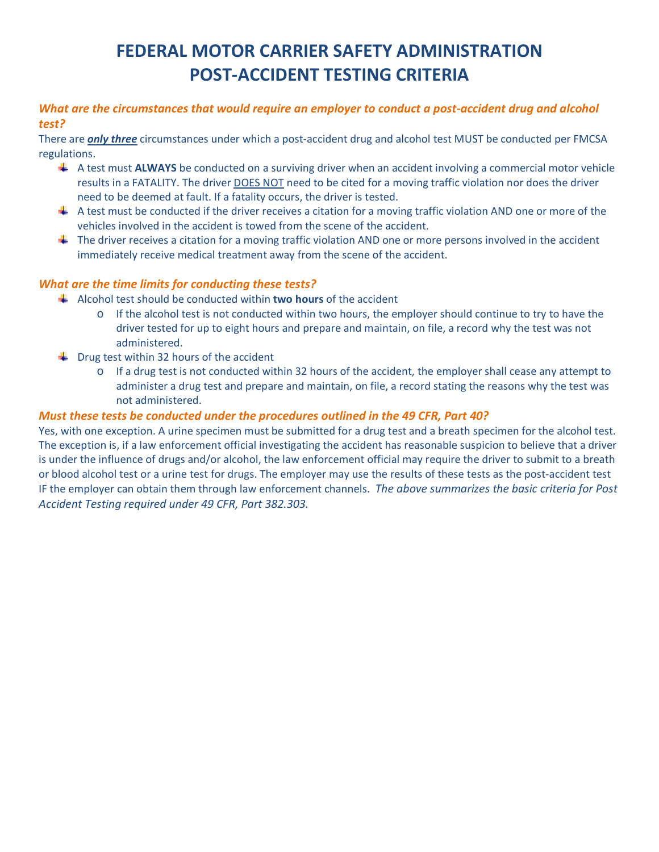# **FEDERAL MOTOR CARRIER SAFETY ADMINISTRATION POST-ACCIDENT TESTING CRITERIA**

#### *What are the circumstances that would require an employer to conduct a post-accident drug and alcohol test?*

There are *only three* circumstances under which a post-accident drug and alcohol test MUST be conducted per FMCSA regulations.

- A test must **ALWAYS** be conducted on a surviving driver when an accident involving a commercial motor vehicle results in a FATALITY. The driver DOES NOT need to be cited for a moving traffic violation nor does the driver need to be deemed at fault. If a fatality occurs, the driver is tested.
- $\perp$  A test must be conducted if the driver receives a citation for a moving traffic violation AND one or more of the vehicles involved in the accident is towed from the scene of the accident.
- $\ddot{\phantom{1}}$  The driver receives a citation for a moving traffic violation AND one or more persons involved in the accident immediately receive medical treatment away from the scene of the accident.

#### *What are the time limits for conducting these tests?*

- Alcohol test should be conducted within **two hours** of the accident
	- o If the alcohol test is not conducted within two hours, the employer should continue to try to have the driver tested for up to eight hours and prepare and maintain, on file, a record why the test was not administered.
- $\bigstar$  Drug test within 32 hours of the accident
	- o If a drug test is not conducted within 32 hours of the accident, the employer shall cease any attempt to administer a drug test and prepare and maintain, on file, a record stating the reasons why the test was not administered.

#### *Must these tests be conducted under the procedures outlined in the 49 CFR, Part 40?*

Yes, with one exception. A urine specimen must be submitted for a drug test and a breath specimen for the alcohol test. The exception is, if a law enforcement official investigating the accident has reasonable suspicion to believe that a driver is under the influence of drugs and/or alcohol, the law enforcement official may require the driver to submit to a breath or blood alcohol test or a urine test for drugs. The employer may use the results of these tests as the post-accident test IF the employer can obtain them through law enforcement channels. *The above summarizes the basic criteria for Post Accident Testing required under 49 CFR, Part 382.303.*